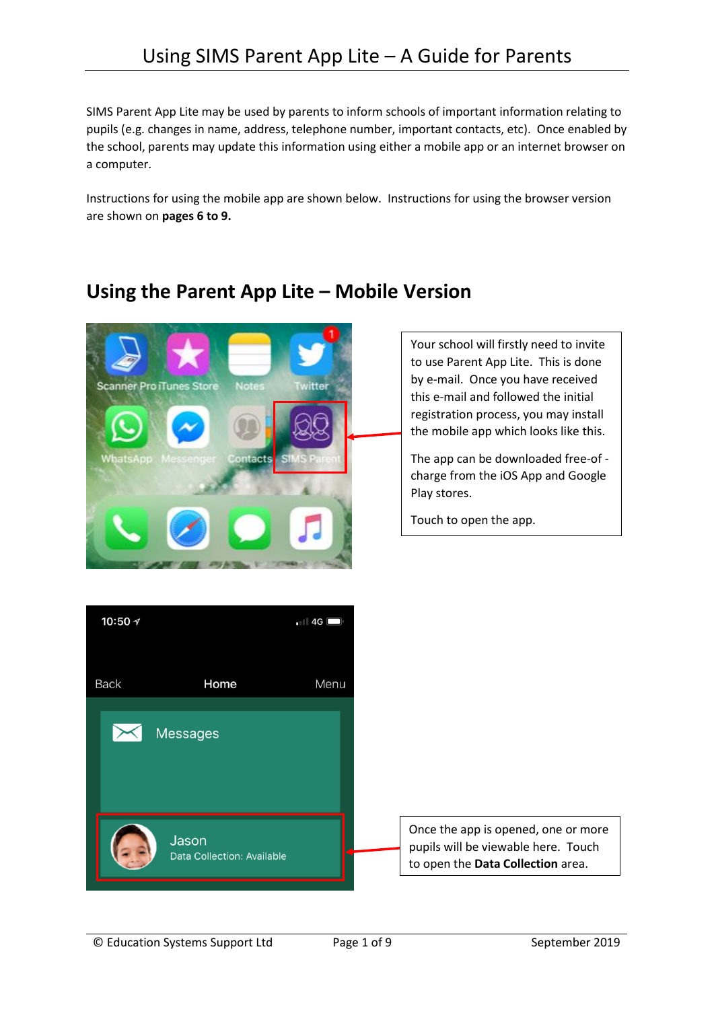SIMS Parent App Lite may be used by parents to inform schools of important information relating to pupils (e.g. changes in name, address, telephone number, important contacts, etc). Once enabled by the school, parents may update this information using either a mobile app or an internet browser on a computer.

Instructions for using the mobile app are shown below. Instructions for using the browser version are shown on **pages [6](#page-5-0) t[o 9.](#page-8-0)**



## **Using the Parent App Lite – Mobile Version**

Your school will firstly need to invite to use Parent App Lite. This is done by e-mail. Once you have received this e-mail and followed the initial registration process, you may install the mobile app which looks like this.

The app can be downloaded free-of charge from the iOS App and Google Play stores.

Touch to open the app.

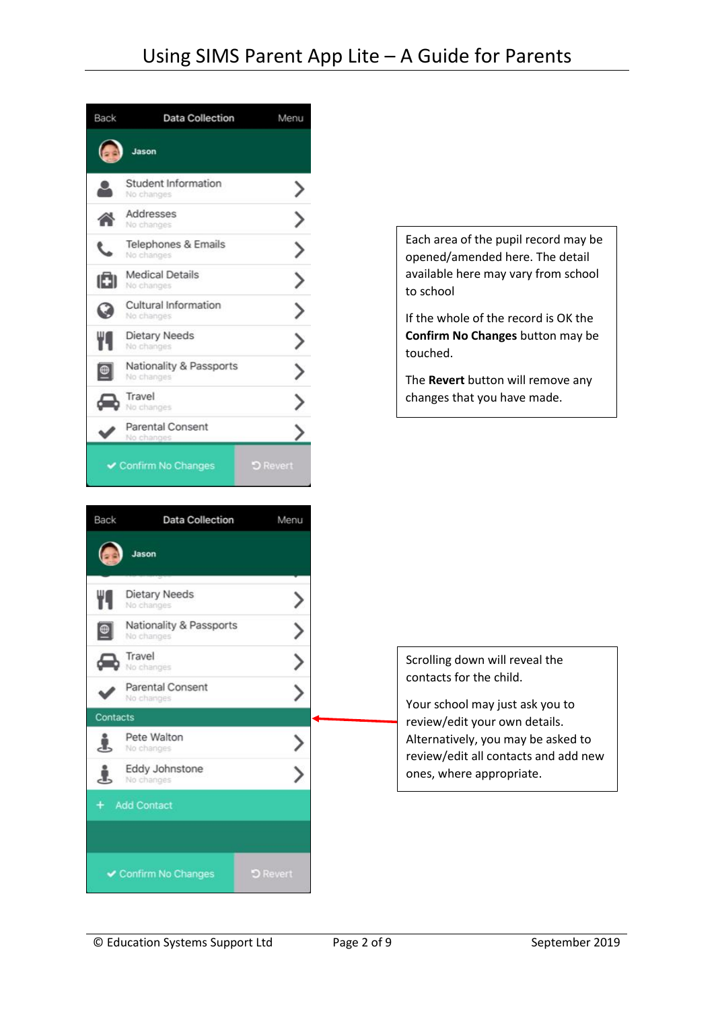

Jason

lo cha

No change Travel

No changes

Pete Walton

Eddy Johnstone

✔ Confirm No Changes

No changes

Contacts

**Parental Consent** 

Dietary Needs

Nationality & Passports

Each area of the pupil record may be opened/amended here. The detail available here may vary from school to school

If the whole of the record is OK the **Confirm No Changes** button may be touched.

The **Revert** button will remove any changes that you have made.

Scrolling down will reveal the contacts for the child.

Your school may just ask you to review/edit your own details. Alternatively, you may be asked to review/edit all contacts and add new ones, where appropriate.

© Education Systems Support Ltd Page 2 of [9](#page-8-0) September 2019

>

 $\mathcal{P}$ 

⋋

ゝ

 $\mathcal{P}$ 

>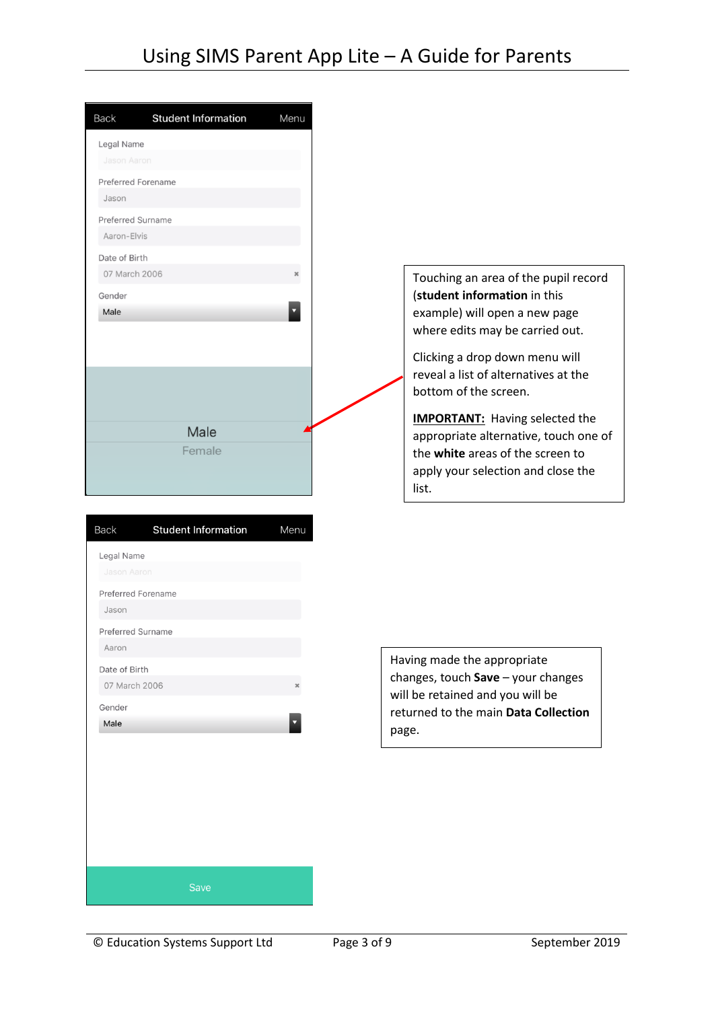| <b>Back</b>               | <b>Student Information</b> | Menu                  |
|---------------------------|----------------------------|-----------------------|
| Legal Name                |                            |                       |
| Jason Aaron               |                            |                       |
| <b>Preferred Forename</b> |                            |                       |
| Jason                     |                            |                       |
| <b>Preferred Surname</b>  |                            |                       |
| Aaron-Elvis               |                            |                       |
| Date of Birth             |                            |                       |
| 07 March 2006             |                            | $\boldsymbol{\times}$ |
| Gender                    |                            |                       |
| Male                      |                            |                       |
|                           |                            |                       |
|                           |                            |                       |
|                           |                            |                       |
|                           |                            |                       |
|                           | Male                       |                       |
|                           | Female                     |                       |
|                           |                            |                       |
|                           |                            |                       |
|                           |                            |                       |
| <b>Back</b>               | <b>Student Information</b> | Menu                  |
| Legal Name                |                            |                       |
| Jason Aaron               |                            |                       |
| <b>Preferred Forename</b> |                            |                       |
| Jason                     |                            |                       |
| Preferred Surname         |                            |                       |
| Aaron                     |                            |                       |
| Date of Birth             |                            |                       |
| 07 March 2006             |                            | ×                     |
| Gender                    |                            |                       |
| Male                      |                            |                       |
|                           |                            |                       |
|                           |                            |                       |
|                           |                            |                       |
|                           |                            |                       |
|                           |                            |                       |
|                           |                            |                       |
|                           |                            |                       |
|                           |                            |                       |
|                           | Save                       |                       |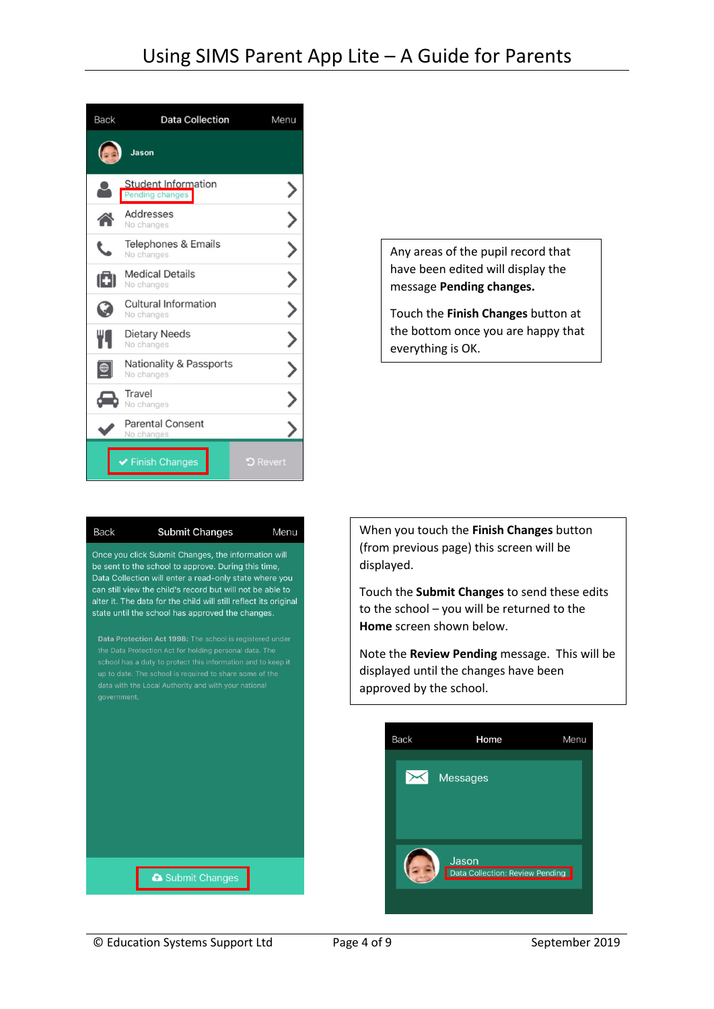



Any areas of the pupil record that have been edited will display the message **Pending changes.**

Touch the **Finish Changes** button at the bottom once you are happy that everything is OK.

When you touch the **Finish Changes** button (from previous page) this screen will be displayed.

Touch the **Submit Changes** to send these edits to the school – you will be returned to the **Home** screen shown below.

Note the **Review Pending** message. This will be displayed until the changes have been approved by the school.

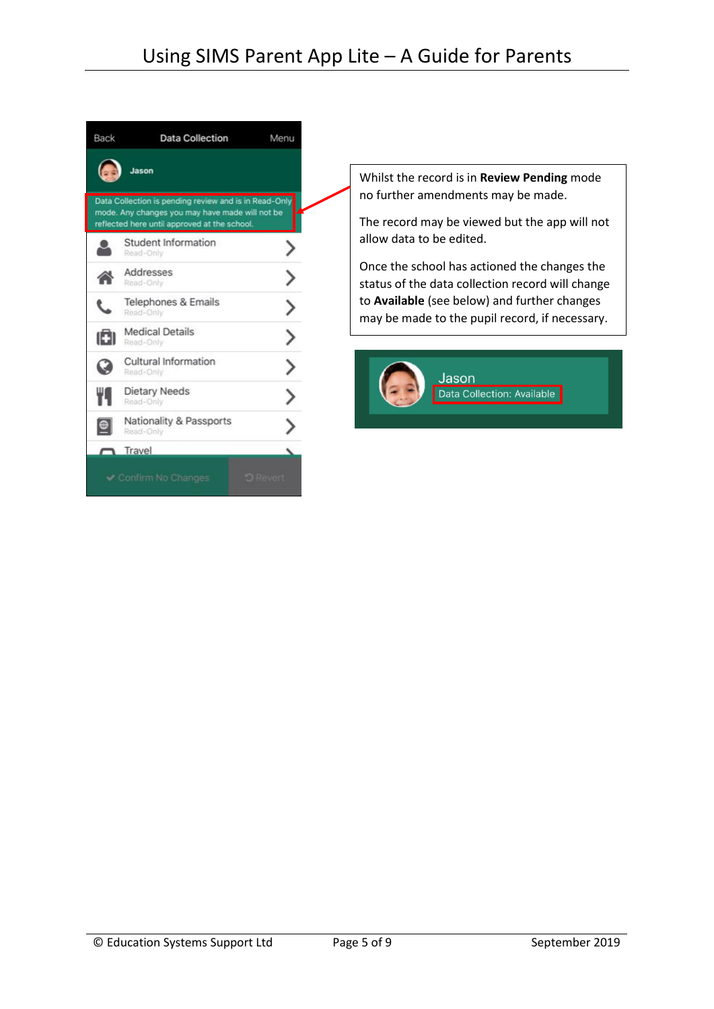| <b>Back</b> | <b>Data Collection</b>                                                                                                                                   | Menu |
|-------------|----------------------------------------------------------------------------------------------------------------------------------------------------------|------|
|             | Jason                                                                                                                                                    |      |
|             | Data Collection is pending review and is in Read-Only<br>mode. Any changes you may have made will not be<br>reflected here until approved at the school. |      |
|             | Student Information<br>Read-Only                                                                                                                         |      |
| ◚           | Addresses<br>Read-Only                                                                                                                                   |      |
|             | Telephones & Emails<br>Read-Only                                                                                                                         |      |
| ıōı         | <b>Medical Details</b><br>Read-Only                                                                                                                      |      |
| G           | Cultural Information<br>Read-Only                                                                                                                        |      |
| Ψq          | Dietary Needs<br>Read-Only                                                                                                                               |      |
|             | Nationality & Passports<br>Read-Only                                                                                                                     |      |
|             | Travel                                                                                                                                                   |      |
|             | Confirm No Changes                                                                                                                                       |      |

Whilst the record is in **Review Pending** mode no further amendments may be made.

The record may be viewed but the app will not allow data to be edited.

Once the school has actioned the changes the status of the data collection record will change to **Available** (see below) and further changes may be made to the pupil record, if necessary.

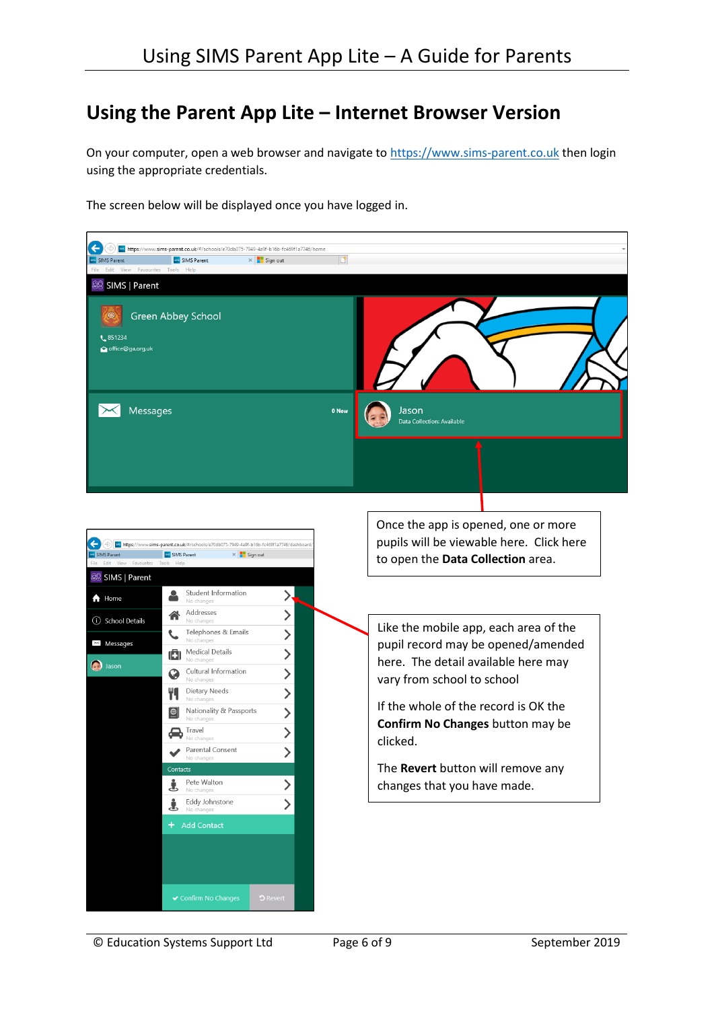## **Using the Parent App Lite – Internet Browser Version**

<span id="page-5-0"></span>On your computer, open a web browser and navigate to [https://www.sims-parent.co.uk](https://www.sims-parent.co.uk/) then login using the appropriate credentials.

The screen below will be displayed once you have logged in.

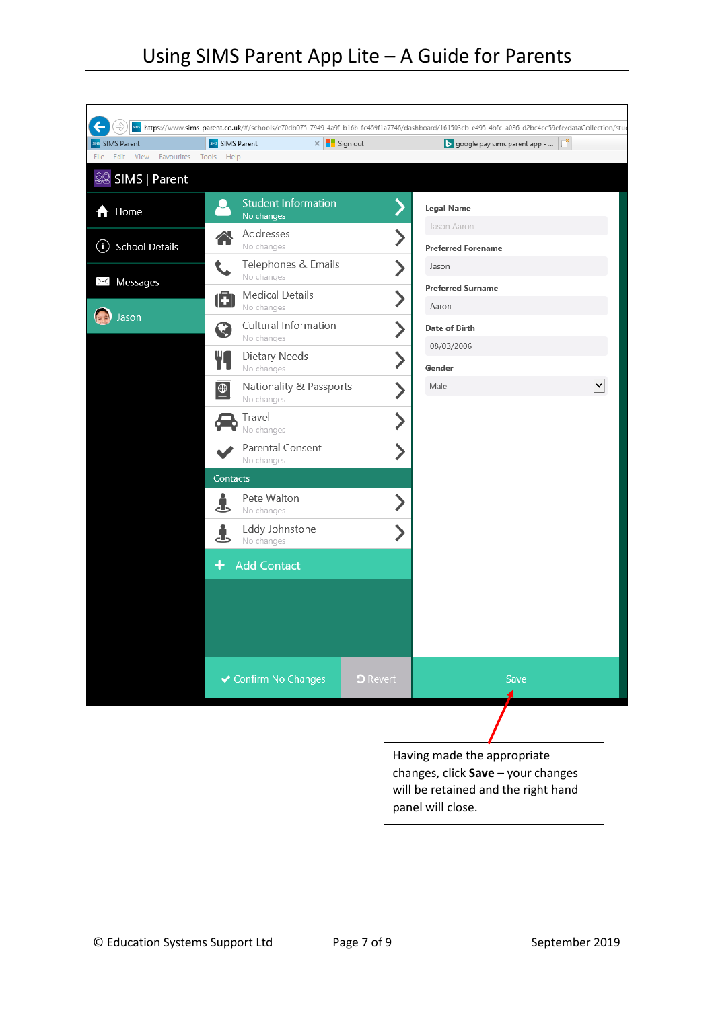| <b>BR</b> SIMS Parent        | <b>BBB</b> SIMS Parent                    | $\times$ $\blacksquare$ Sign out |                 | google pay sims parent app -                                      |              |
|------------------------------|-------------------------------------------|----------------------------------|-----------------|-------------------------------------------------------------------|--------------|
| Edit View<br>Favourites      | Help<br>Tools                             |                                  |                 |                                                                   |              |
| 88 SIMS   Parent             |                                           |                                  |                 |                                                                   |              |
| A Home                       | No changes                                | <b>Student Information</b>       |                 | <b>Legal Name</b>                                                 |              |
| <b>School Details</b><br>(i) | Addresses<br>No changes                   |                                  |                 | Jason Aaron<br><b>Preferred Forename</b>                          |              |
| $\times$ Messages            | No changes                                | Telephones & Emails              |                 | Jason                                                             |              |
|                              | <b>Medical Details</b><br>O<br>No changes |                                  | ゝ               | <b>Preferred Surname</b><br>Aaron                                 |              |
| Jason                        | G<br>No changes                           | Cultural Information             |                 | <b>Date of Birth</b>                                              |              |
|                              | Dietary Needs<br>No changes               |                                  |                 | 08/03/2006<br>Gender                                              |              |
|                              | $\bigcirc$<br>No changes                  | Nationality & Passports          |                 | Male                                                              | $\checkmark$ |
|                              | Travel<br>No changes                      |                                  | ゝ               |                                                                   |              |
|                              | Parental Consent<br>No changes            |                                  |                 |                                                                   |              |
|                              | Contacts                                  |                                  |                 |                                                                   |              |
|                              | Pete Walton<br>Ł<br>No changes            |                                  |                 |                                                                   |              |
|                              | Eddy Johnstone<br>5<br>No changes         |                                  |                 |                                                                   |              |
|                              | <b>Add Contact</b>                        |                                  |                 |                                                                   |              |
|                              |                                           |                                  |                 |                                                                   |              |
|                              |                                           |                                  |                 |                                                                   |              |
|                              |                                           |                                  |                 |                                                                   |              |
|                              | ✔ Confirm No Changes                      |                                  | <b>D</b> Revert | Save                                                              |              |
|                              |                                           |                                  |                 |                                                                   |              |
|                              |                                           |                                  |                 |                                                                   |              |
|                              |                                           |                                  |                 | Having made the appropriate<br>changes, click Save - your changes |              |
|                              |                                           |                                  |                 | will be retained and the right hand                               |              |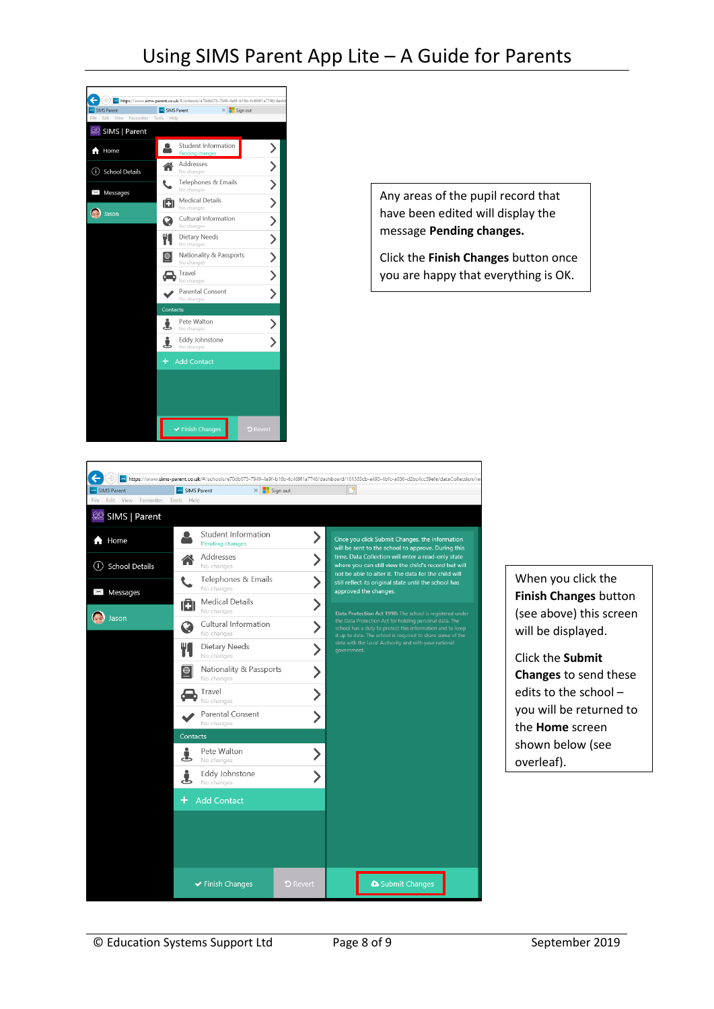## Using SIMS Parent App Lite – A Guide for Parents



Any areas of the pupil record that have been edited will display the message **Pending changes.**

Click the **Finish Changes** button once you are happy that everything is OK.

٦

|                                          |                                                     | ave https://www.sims-parent.co.uk/#/schools/e70db075-7949-4a9f-b16b-fc469f1a7746/dashboard/161503cb-e495-4bfc-a036-d2bc4cc59efe/dataCollection/re                                 |
|------------------------------------------|-----------------------------------------------------|-----------------------------------------------------------------------------------------------------------------------------------------------------------------------------------|
| <b>SIMS Parent</b>                       | <b>SIMS Parent</b>                                  | $\times$ $\blacksquare$ Sign out                                                                                                                                                  |
| View<br>Favourites Tools<br>File<br>Edit | Help                                                |                                                                                                                                                                                   |
| 88 SIMS   Parent                         |                                                     |                                                                                                                                                                                   |
| $\bigwedge$ Home                         | Student Information<br><b>Pending changes</b>       | Once you click Submit Changes, the information<br>will be sent to the school to approve. During this                                                                              |
| <b>School Details</b><br>O)              | Addresses<br>No changes                             | time, Data Collection will enter a read-only state<br>where you can still view the child's record but will<br>not be able to alter it. The data for the child will                |
| <b>Messages</b><br>$\Join$               | Telephones & Emails<br>No changes                   | still reflect its original state until the school has<br>approved the changes.                                                                                                    |
| Jason                                    | <b>Medical Details</b><br>Ô<br>No changes           | Data Protection Act 1998: The school is registered under                                                                                                                          |
|                                          | Cultural Information<br>No changes                  | the Data Protection Act for holding personal data. The<br>school has a duty to protect this information and to keep<br>it up to date. The school is required to share some of the |
|                                          | Dietary Needs<br>No changes                         | data with the Local Authority and with your national<br>government.                                                                                                               |
|                                          | Nationality & Passports<br>$ \oplus $<br>No changes |                                                                                                                                                                                   |
|                                          | Travel<br>No changes                                |                                                                                                                                                                                   |
|                                          | Parental Consent<br>No changes                      |                                                                                                                                                                                   |
|                                          | Contacts                                            |                                                                                                                                                                                   |
|                                          | Pete Walton<br>J<br>No changes                      |                                                                                                                                                                                   |
|                                          | Eddy Johnstone<br>Ŧ<br>No changes                   |                                                                                                                                                                                   |
|                                          | <b>Add Contact</b>                                  |                                                                                                                                                                                   |
|                                          |                                                     |                                                                                                                                                                                   |
|                                          |                                                     |                                                                                                                                                                                   |
|                                          |                                                     |                                                                                                                                                                                   |
|                                          | $\blacktriangleright$ Finish Changes                | Submit Changes<br><b>D</b> Revert                                                                                                                                                 |

When you click the **Finish Changes** button (see above) this screen will be displayed.

Click the **Submit Changes** to send these edits to the school – you will be returned to the **Home** screen shown below (see overleaf).